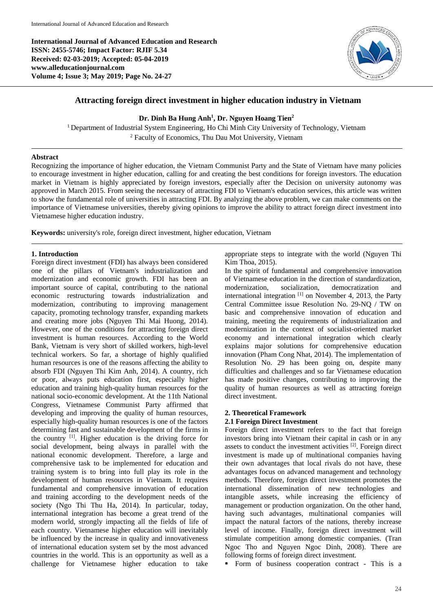**International Journal of Advanced Education and Research ISSN: 2455-5746; Impact Factor: RJIF 5.34 Received: 02-03-2019; Accepted: 05-04-2019 www.alleducationjournal.com Volume 4; Issue 3; May 2019; Page No. 24-27**



# **Attracting foreign direct investment in higher education industry in Vietnam**

#### **Dr. Dinh Ba Hung Anh<sup>1</sup> , Dr. Nguyen Hoang Tien<sup>2</sup>**

<sup>1</sup> Department of Industrial System Engineering, Ho Chi Minh City University of Technology, Vietnam <sup>2</sup> Faculty of Economics, Thu Dau Mot University, Vietnam

### **Abstract**

Recognizing the importance of higher education, the Vietnam Communist Party and the State of Vietnam have many policies to encourage investment in higher education, calling for and creating the best conditions for foreign investors. The education market in Vietnam is highly appreciated by foreign investors, especially after the Decision on university autonomy was approved in March 2015. From seeing the necessary of attracting FDI to Vietnam's education services, this article was written to show the fundamental role of universities in attracting FDI. By analyzing the above problem, we can make comments on the importance of Vietnamese universities, thereby giving opinions to improve the ability to attract foreign direct investment into Vietnamese higher education industry.

**Keywords:** university's role, foreign direct investment, higher education, Vietnam

### **1. Introduction**

Foreign direct investment (FDI) has always been considered one of the pillars of Vietnam's industrialization and modernization and economic growth. FDI has been an important source of capital, contributing to the national economic restructuring towards industrialization and modernization, contributing to improving management capacity, promoting technology transfer, expanding markets and creating more jobs (Nguyen Thi Mai Huong, 2014). However, one of the conditions for attracting foreign direct investment is human resources. According to the World Bank, Vietnam is very short of skilled workers, high-level technical workers. So far, a shortage of highly qualified human resources is one of the reasons affecting the ability to absorb FDI (Nguyen Thi Kim Anh, 2014). A country, rich or poor, always puts education first, especially higher education and training high-quality human resources for the national socio-economic development. At the 11th National Congress, Vietnamese Communist Party affirmed that developing and improving the quality of human resources, especially high-quality human resources is one of the factors determining fast and sustainable development of the firms in the country [1]. Higher education is the driving force for social development, being always in parallel with the national economic development. Therefore, a large and comprehensive task to be implemented for education and training system is to bring into full play its role in the development of human resources in Vietnam. It requires fundamental and comprehensive innovation of education and training according to the development needs of the society (Ngo Thi Thu Ha, 2014). In particular, today, international integration has become a great trend of the modern world, strongly impacting all the fields of life of each country. Vietnamese higher education will inevitably be influenced by the increase in quality and innovativeness of international education system set by the most advanced countries in the world. This is an opportunity as well as a challenge for Vietnamese higher education to take appropriate steps to integrate with the world (Nguyen Thi Kim Thoa, 2015).

In the spirit of fundamental and comprehensive innovation of Vietnamese education in the direction of standardization, socialization, democratization and international integration  $\left[1\right]$  on November 4, 2013, the Party Central Committee issue Resolution No. 29-NQ / TW on basic and comprehensive innovation of education and training, meeting the requirements of industrialization and modernization in the context of socialist-oriented market economy and international integration which clearly explains major solutions for comprehensive education innovation (Pham Cong Nhat, 2014). The implementation of Resolution No. 29 has been going on, despite many difficulties and challenges and so far Vietnamese education has made positive changes, contributing to improving the quality of human resources as well as attracting foreign direct investment.

# **2. Theoretical Framework**

### **2.1 Foreign Direct Investment**

Foreign direct investment refers to the fact that foreign investors bring into Vietnam their capital in cash or in any assets to conduct the investment activities [2]. Foreign direct investment is made up of multinational companies having their own advantages that local rivals do not have, these advantages focus on advanced management and technology methods. Therefore, foreign direct investment promotes the international dissemination of new technologies and intangible assets, while increasing the efficiency of management or production organization. On the other hand, having such advantages, multinational companies will impact the natural factors of the nations, thereby increase level of income. Finally, foreign direct investment will stimulate competition among domestic companies. (Tran Ngoc Tho and Nguyen Ngoc Dinh, 2008). There are following forms of foreign direct investment.

**•** Form of business cooperation contract - This is a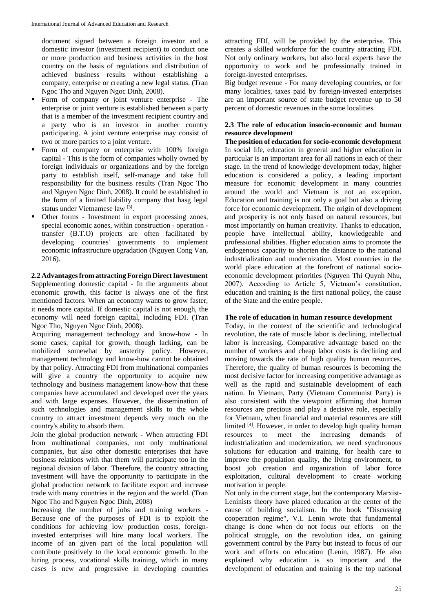document signed between a foreign investor and a domestic investor (investment recipient) to conduct one or more production and business activities in the host country on the basis of regulations and distribution of achieved business results without establishing a company, enterprise or creating a new legal status. (Tran Ngoc Tho and Nguyen Ngoc Dinh, 2008).

- Form of company or joint venture enterprise The enterprise or joint venture is established between a party that is a member of the investment recipient country and a party who is an investor in another country participating. A joint venture enterprise may consist of two or more parties to a joint venture.
- Form of company or enterprise with 100% foreign capital - This is the form of companies wholly owned by foreign individuals or organizations and by the foreign party to establish itself, self-manage and take full responsibility for the business results (Tran Ngoc Tho and Nguyen Ngoc Dinh, 2008). It could be established in the form of a limited liability company that hasg legal status under Vietnamese law<sup>[3]</sup>.
- Other forms Investment in export processing zones, special economic zones, within construction - operation transfer (B.T.O) projects are often facilitated by developing countries' governments to implement economic infrastructure upgradation (Nguyen Cong Van, 2016).

## **2.2 Advantagesfrom attracting Foreign DirectInvestment**

Supplementing domestic capital - In the arguments about economic growth, this factor is always one of the first mentioned factors. When an economy wants to grow faster, it needs more capital. If domestic capital is not enough, the economy will need foreign capital, including FDI. (Tran Ngoc Tho, Nguyen Ngoc Dinh, 2008).

Acquiring management technology and know-how - In some cases, capital for growth, though lacking, can be mobilized somewhat by austerity policy. However, management technology and know-how cannot be obtained by that policy. Attracting FDI from multinational companies will give a country the opportunity to acquire new technology and business management know-how that these companies have accumulated and developed over the years and with large expenses. However, the dissemination of such technologies and management skills to the whole country to attract investment depends very much on the country's ability to absorb them.

Join the global production network - When attracting FDI from multinational companies, not only multinational companies, but also other domestic enterprises that have business relations with that them will participate too in the regional division of labor. Therefore, the country attracting investment will have the opportunity to participate in the global production network to facilitate export and increase trade with many countries in the region and the world. (Tran Ngoc Tho and Nguyen Ngoc Dinh, 2008)

Increasing the number of jobs and training workers - Because one of the purposes of FDI is to exploit the conditions for achieving low production costs, foreigninvested enterprises will hire many local workers. The income of an given part of the local population will contribute positively to the local economic growth. In the hiring process, vocational skills training, which in many cases is new and progressive in developing countries

attracting FDI, will be provided by the enterprise. This creates a skilled workforce for the country attracting FDI. Not only ordinary workers, but also local experts have the opportunity to work and be professionally trained in foreign-invested enterprises.

Big budget revenue - For many developing countries, or for many localities, taxes paid by foreign-invested enterprises are an important source of state budget revenue up to 50 percent of domestic revenues in the some localities.

## **2.3 The role of education insocio-economic and human resource development**

**The position of education for socio-economic development** In social life, education in general and higher education in particular is an important area for all nations in each of their stage. In the trend of knowledge development today, higher education is considered a policy, a leading important measure for economic development in many countries around the world and Vietnam is not an exception. Education and training is not only a goal but also a driving force for economic development. The origin of development and prosperity is not only based on natural resources, but most importantly on human creativity. Thanks to education, people have intellectual ability, knowledgeable and professional abilities. Higher education aims to promote the endogenous capacity to shorten the distance to the national industrialization and modernization. Most countries in the world place education at the forefront of national socioeconomic development priorities (Nguyen Thi Quynh Nhu, 2007). According to Article 5, Vietnam's constitution, education and training is the first national policy, the cause of the State and the entire people.

# **The role of education in human resource development**

Today, in the context of the scientific and technological revolution, the rate of muscle labor is declining, intellectual labor is increasing. Comparative advantage based on the number of workers and cheap labor costs is declining and moving towards the rate of high quality human resources. Therefore, the quality of human resources is becoming the most decisive factor for increasing competitive advantage as well as the rapid and sustainable development of each nation. In Vietnam, Party (Vietnam Communist Party) is also consistent with the viewpoint affirming that human resources are precious and play a decisive role, especially for Vietnam, when financial and material resources are still limited <sup>[4]</sup>. However, in order to develop high quality human resources to meet the increasing demands of industrialization and modernization, we need synchronous solutions for education and training, for health care to improve the population quality, the living environment, to boost job creation and organization of labor force exploitation, cultural development to create working motivation in people.

Not only in the current stage, but the contemporary Marxist-Leninists theory have placed education at the center of the cause of building socialism. In the book "Discussing cooperation regime", V.I. Lenin wrote that fundamental change is done when do not focus our efforts on the political struggle, on the revolution idea, on gaining government control by the Party but instead to focus of our work and efforts on education (Lenin, 1987). He also explained why education is so important and the development of education and training is the top national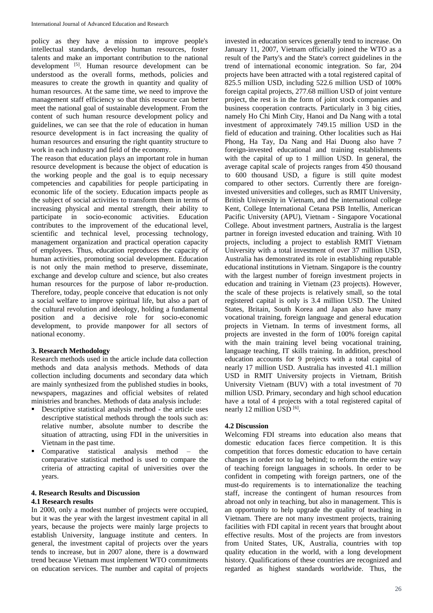policy as they have a mission to improve people's intellectual standards, develop human resources, foster talents and make an important contribution to the national development <sup>[5]</sup>. Human resource development can be understood as the overall forms, methods, policies and measures to create the growth in quantity and quality of human resources. At the same time, we need to improve the management staff efficiency so that this resource can better meet the national goal of sustainable development. From the content of such human resource development policy and guidelines, we can see that the role of education in human resource development is in fact increasing the quality of human resources and ensuring the right quantity structure to work in each industry and field of the economy.

The reason that education plays an important role in human resource development is because the object of education is the working people and the goal is to equip necessary competencies and capabilities for people participating in economic life of the society. Education impacts people as the subject of social activities to transform them in terms of increasing physical and mental strength, their ability to participate in socio-economic activities. Education contributes to the improvement of the educational level, scientific and technical level, processing technology, management organization and practical operation capacity of employees. Thus, education reproduces the capacity of human activities, promoting social development. Education is not only the main method to preserve, disseminate, exchange and develop culture and science, but also creates human resources for the purpose of labor re-production. Therefore, today, people conceive that education is not only a social welfare to improve spiritual life, but also a part of the cultural revolution and ideology, holding a fundamental position and a decisive role for socio-economic development, to provide manpower for all sectors of national economy.

### **3. Research Methodology**

Research methods used in the article include data collection methods and data analysis methods. Methods of data collection including documents and secondary data which are mainly synthesized from the published studies in books, newspapers, magazines and official websites of related ministries and branches. Methods of data analysis include:

- Descriptive statistical analysis method the article uses descriptive statistical methods through the tools such as: relative number, absolute number to describe the situation of attracting, using FDI in the universities in Vietnam in the past time.
- Comparative statistical analysis method the comparative statistical method is used to compare the criteria of attracting capital of universities over the years.

#### **4. Research Results and Discussion**

### **4.1 Research results**

In 2000, only a modest number of projects were occupied, but it was the year with the largest investment capital in all years, because the projects were mainly large projects to establish University, language institute and centers. In general, the investment capital of projects over the years tends to increase, but in 2007 alone, there is a downward trend because Vietnam must implement WTO commitments on education services. The number and capital of projects

invested in education services generally tend to increase. On January 11, 2007, Vietnam officially joined the WTO as a result of the Party's and the State's correct guidelines in the trend of international economic integration. So far, 204 projects have been attracted with a total registered capital of 825.5 million USD, including 522.6 million USD of 100% foreign capital projects, 277.68 million USD of joint venture project, the rest is in the form of joint stock companies and business cooperation contracts. Particularly in 3 big cities, namely Ho Chi Minh City, Hanoi and Da Nang with a total investment of approximately 749.15 million USD in the field of education and training. Other localities such as Hai Phong, Ha Tay, Da Nang and Hai Duong also have 7 foreign-invested educational and training establishments with the capital of up to 1 million USD. In general, the average capital scale of projects ranges from 450 thousand to 600 thousand USD, a figure is still quite modest compared to other sectors. Currently there are foreigninvested universities and colleges, such as RMIT University, British University in Vietnam, and the international college Kent, College International Cetana PSB Intellis, American Pacific University (APU), Vietnam - Singapore Vocational College. About investment partners, Australia is the largest partner in foreign invested education and training. With 10 projects, including a project to establish RMIT Vietnam University with a total investment of over 37 million USD, Australia has demonstrated its role in establishing reputable educational institutions in Vietnam. Singapore is the country with the largest number of foreign investment projects in education and training in Vietnam (23 projects). However, the scale of these projects is relatively small, so the total registered capital is only is 3.4 million USD. The United States, Britain, South Korea and Japan also have many vocational training, foreign language and general education projects in Vietnam. In terms of investment forms, all projects are invested in the form of 100% foreign capital with the main training level being vocational training, language teaching, IT skills training. In addition, preschool education accounts for 9 projects with a total capital of nearly 17 million USD. Australia has invested 41.1 million USD in RMIT University projects in Vietnam, British University Vietnam (BUV) with a total investment of 70 million USD. Primary, secondary and high school education have a total of 4 projects with a total registered capital of nearly 12 million USD [6].

### **4.2 Discussion**

Welcoming FDI streams into education also means that domestic education faces fierce competition. It is this competition that forces domestic education to have certain changes in order not to lag behind; to reform the entire way of teaching foreign languages in schools. In order to be confident in competing with foreign partners, one of the must-do requirements is to internationalize the teaching staff, increase the contingent of human resources from abroad not only in teaching, but also in management. This is an opportunity to help upgrade the quality of teaching in Vietnam. There are not many investment projects, training facilities with FDI capital in recent years that brought about effective results. Most of the projects are from investors from United States, UK, Australia, countries with top quality education in the world, with a long development history. Qualifications of these countries are recognized and regarded as highest standards worldwide. Thus, the